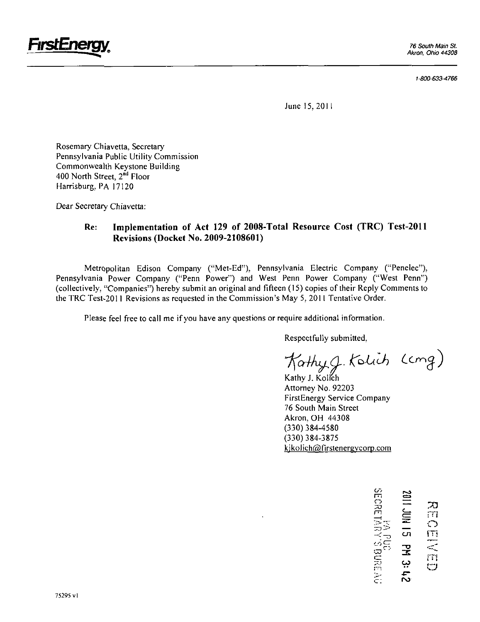

1-800-633-4766

June 15, 2011

Rosemary Chiavetta, Secretary Pennsylvania Public Utility Commission Commonwealth Keystone Building 400 North Street, 2<sup>nd</sup> Floor Harrisburg, PA 17120

Dear Secretary Chiavetta:

## **Re: Implementation of Act 129 of 2008-Total Resource Cost (TRC) Test-2011 Revisions (Docket No. 2009-2108601)**

Metropolitan Edison Company ("Met-Ed"), Pennsylvania Electric Company ("Penelec"), Pennsylvania Power Company ("Penn Power") and West Penn Power Company ("West Penn") (collectively, "Companies") hereby submit an original and fifteen (15) copies of their Reply Comments to the TRC Test-2011 Revisions as requested in the Commission's May 5, 2011 Tentative Order.

Please feel free to call me if you have any questions or require additional information.

Respectfully submitted,

Kathyg. Kolich (cmg)

Kathy J. Kolich Attorney No. 92203 FirstEnergy Service Company 76 South Main Street Akron, OH 44308 (330)384-4580 (330)384-3875 kjkolich@firstenergycorp.com

> rn 29 S  $\equiv$ m : <del>.</del><br>D : .  $\equiv$   $\circ$  $\frac{1}{2}$  co  $\frac{m}{2}$  $\Xi$  in  $\alpha$  . If it ىي  $\mathbf{f}$  $\in$ :  $\sim$

E CHI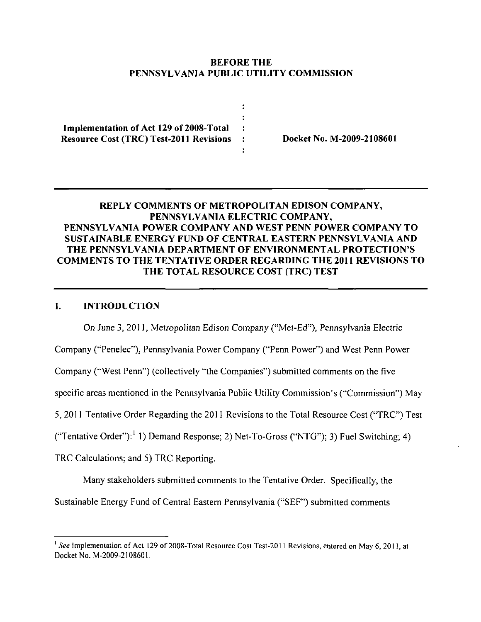## **BEFORE THE PENNSYLVANIA PUBLIC UTILITY COMMISSION**

 $\ddot{\cdot}$ 

**Implementation of Act 129 of 2008-Total**  Resource Cost (TRC) Test-2011 Revisions : Docket No. M-2009-2108601

# **REPLY COMMENTS OF METROPOLITAN EDISON COMPANY, PENNSYLVANIA ELECTRIC COMPANY, PENNSYLVANIA POWER COMPANY AND WEST PENN POWER COMPANY TO SUSTAINABLE ENERGY FUND OF CENTRAL EASTERN PENNSYLVANIA AND THE PENNSYLVANIA DEPARTMENT OF ENVIRONMENTAL PROTECTION'S COMMENTS TO THE TENTATIVE ORDER REGARDING THE 2011 REVISIONS TO THE TOTAL RESOURCE COST (TRC) TEST**

### **I. INTRODUCTION**

On June 3, 2011, Metropolitan Edison Company ("Met-Ed"), Pennsylvania Electric

Company ("Penelec"), Pennsylvania Power Company ("Penn Power") and West Penn Power

Company ("West Penn") (collectively "the Companies") submitted comments on the five

specific areas mentioned in the Pennsylvania Public Utility Commission's ("Commission") May

5, 2011 Tentative Order Regarding the 2011 Revisions to the Total Resource Cost ("TRC") Test

("Tentative Order"):<sup>1</sup> 1) Demand Response; 2) Net-To-Gross ("NTG"); 3) Fuel Switching; 4)

TRC Calculations; and 5) TRC Reporting.

Many stakeholders submitted comments to the Tentative Order. Specifically, the

Sustainable Energy Fund of Central Eastern Pennsylvania ("SEF") submitted comments

 $^1$  See Implementation of Act 129 of 2008-Total Resource Cost Test-2011 Revisions, entered on May 6, 2011, at Docket No. M-2009-2108601.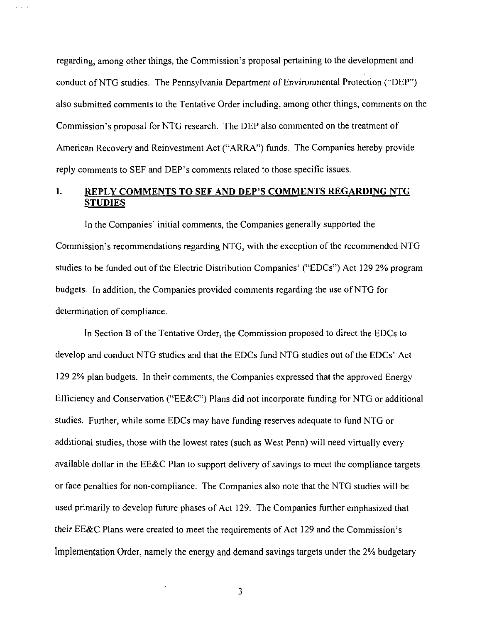regarding, among other things, the Commission's proposal pertaining to the development and conduct of NTG studies. The Pennsylvania Department of Environmental Protection ("DEP") also submitted comments to the Tentative Order including, among other things, comments on the Commission's proposal for NTG research. The DEP also commented on the treatment of American Recovery and Reinvestment Act ("ARRA") funds. The Companies hereby provide reply comments to SEF and DEP's comments related to those specific issues.

 $\sim$   $\sim$   $\sim$ 

# **I. REPLY COMMENTS TO SEF AND DEP'S COMMENTS REGARDING NTG STUDIES**

In the Companies' initial comments, the Companies generally supported the Commission's recommendations regarding NTG, with the exception of the recommended NTG studies to be funded out of the Electric Distribution Companies' ("EDCs") Act 129 2% program budgets. In addition, the Companies provided comments regarding the use of NTG for determination of compliance.

In Section B of the Tentative Order, the Commission proposed to direct the EDCs to develop and conduct NTG studies and that the EDCs fund NTG studies out of the EDCs' Act 129 2% plan budgets. In their comments, the Companies expressed that the approved Energy Efficiency and Conservation ("EE&C") Plans did not incorporate funding for NTG or additional studies. Further, while some EDCs may have funding reserves adequate to fund NTG or additional studies, those with the lowest rates (such as West Penn) will need virtually every available dollar in the EE&C Plan to support delivery of savings to meet the compliance targets or face penalties for non-compliance. The Companies also note that the NTG studies will be used primarily to develop future phases of Act 129. The Companies further emphasized that their EE&C Plans were created to meet the requirements of Act 129 and the Commission's Implementation Order, namely the energy and demand savings targets under the 2% budgetary

 $\overline{3}$ 

 $\ddot{\phantom{0}}$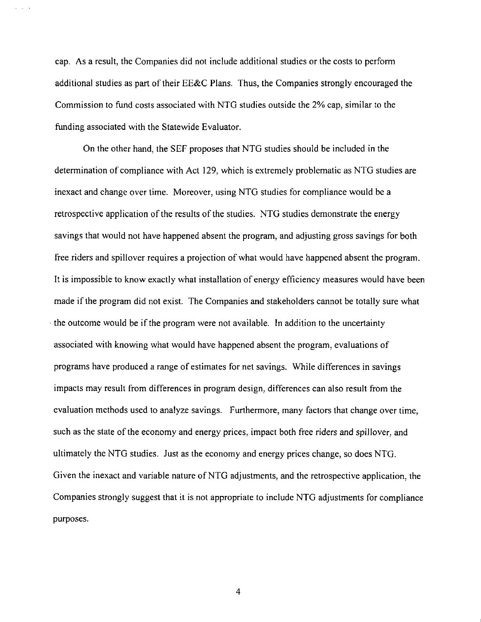cap. As a result, the Companies did not include additional studies or the costs to perform additional studies as part of their EE&C Plans. Thus, the Companies strongly encouraged the Commission to fund costs associated with NTG studies outside the 2% cap, similar to the funding associated with the Statewide Evaluator.

On the other hand, the SEF proposes that NTG studies should be included in the determination of compliance with Act 129, which is extremely problematic as NTG studies are inexact and change over time. Moreover, using NTG studies for compliance would be a retrospective application of the results of the studies. NTG studies demonstrate the energy savings that would not have happened absent the program, and adjusting gross savings for both free riders and spillover requires a projection of what would have happened absent the program. It is impossible to know exactly what installation of energy efficiency measures would have been made if the program did not exist. The Companies and stakeholders cannot be totally sure what the outcome would be if the program were not available. In addition to the uncertainty associated with knowing what would have happened absent the program, evaluations of programs have produced a range of estimates for net savings. While differences in savings impacts may result from differences in program design, differences can also result from the evaluation methods used to analyze savings. Furthermore, many factors that change over time, such as the state of the economy and energy prices, impact both free riders and spillover, and ultimately the NTG studies. Just as the economy and energy prices change, so does NTG. Given the inexact and variable nature of NTG adjustments, and the retrospective application, the Companies strongly suggest that it is not appropriate to include NTG adjustments for compliance purposes.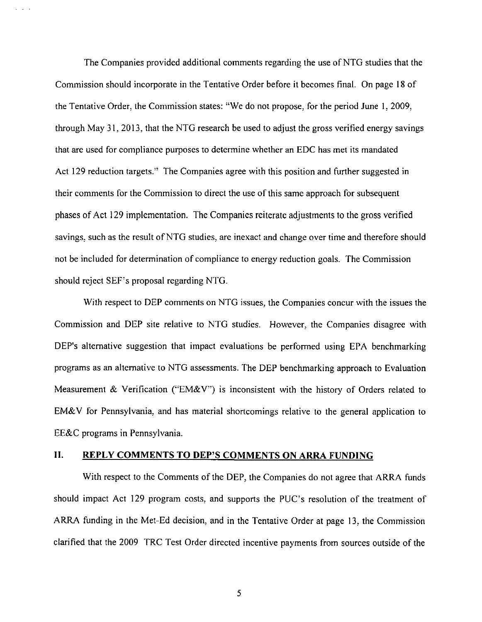The Companies provided additional comments regarding the use of NTG studies that the Commission should incorporate in the Tentative Order before it becomes final. On page 18 of the Tentative Order, the Commission states: "We do not propose, for the period June 1, 2009. through May 31, 2013, that the NTG research be used to adjust the gross verified energy savings that are used for compliance purposes to determine whether an EDC has met its mandated Act 129 reduction targets." The Companies agree with this position and further suggested in their comments for the Commission to direct the use of this same approach for subsequent phases of Act 129 implementation. The Companies reiterate adjustments to the gross verified savings, such as the result of NTG studies, are inexact and change over time and therefore should not be included for determination of compliance to energy reduction goals. The Commission should reject SEF's proposal regarding NTG.

With respect to DEP comments on NTG issues, the Companies concur with the issues the Commission and DEP site relative to NTG studies. However, the Companies disagree with DEP's alternative suggestion that impact evaluations be performed using EPA benchmarking programs as an alternative to NTG assessments. The DEP benchmarking approach to Evaluation Measurement & Verification ("EM&V") is inconsistent with the history of Orders related to EM&V for Pennsylvania, and has material shortcomings relative to the general application to EE&C programs in Pennsylvania.

### **II. REPLY COMMENTS TO DEP'S COMMENTS ON ARRA FUNDING**

With respect to the Comments of the DEP, the Companies do not agree that ARRA funds should impact Act 129 program costs, and supports the PUC's resolution of the treatment of ARRA funding in the Met-Ed decision, and in the Tentative Order at page 13. the Commission clarified that the 2009 TRC Test Order directed incentive payments from sources outside of the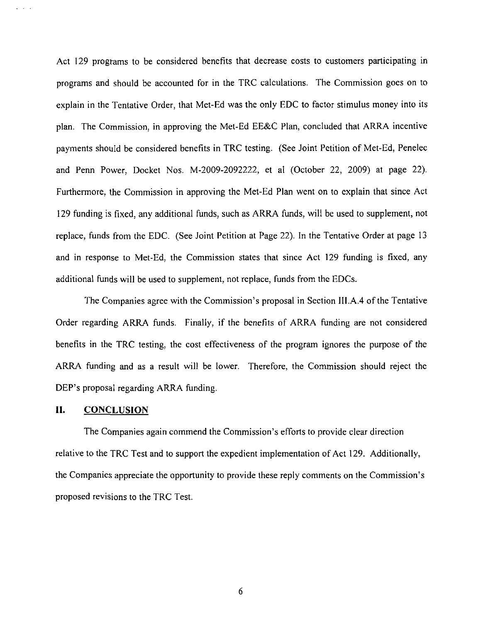Act 129 programs to be considered benefits that decrease costs to customers participating in programs and should be accounted for in the TRC calculations. The Commission goes on to explain in the Tentative Order, that Met-Ed was the only EDC to factor stimulus money into its plan. The Commission, in approving the Met-Ed EE&C Plan, concluded that ARRA incentive payments should be considered benefits in TRC testing. (See Joint Petition of Met-Ed, Penelec and Penn Power, Docket Nos. M-2009-2092222, et al (October 22, 2009) at page 22). Furthermore, the Commission in approving the Met-Ed Plan went on to explain that since Act 129 funding is fixed, any additional funds, such as ARRA funds, will be used to supplement, not replace, funds from the EDC. (See Joint Petition at Page 22). In the Tentative Order at page 13 and in response to Met-Ed, the Commission states that since Act 129 funding is fixed, any additional funds will be used to supplemenl, not replace, funds from the EDCs.

**The Companies agree with the Commission's proposal in Section III.A.4 of the Tentative Order regarding ARRA funds. Finally, if the benefits of ARRA funding are not considered benefits in the TRC testing, the cost effectiveness of the program ignores the purpose of the ARRA funding and as a result will be lower. Therefore, the Commission should reject the DEP's proposal regarding ARRA funding.** 

#### **II. CONCLUSION**

The Companies again commend the Commission's efforts to provide clear direction relative to the TRC Test and to support the expedient implementation of Act 129. Additionally, the Companies appreciate the opportunity to provide these reply comments on the Commission's proposed revisions to the TRC Test.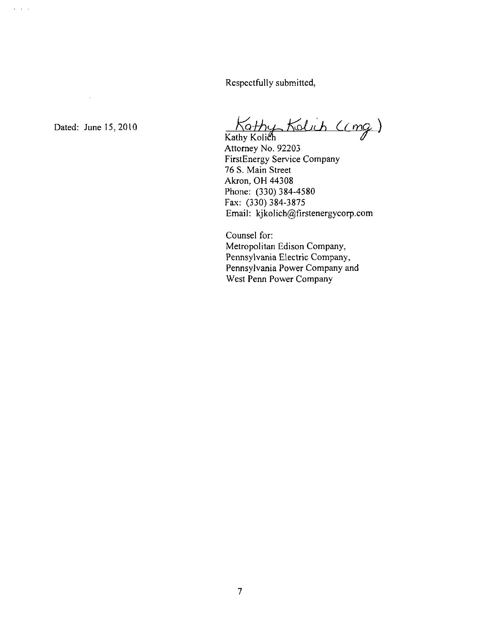Respectfully submitted.

 $\mathcal{A}$ 

 $\mathbf{L}^{\prime}$  ,  $\mathbf{L}^{\prime}$  ,  $\mathbf{L}$ 

Dated: June 15, 2010  $\overline{N}$   $\overline{N}$   $\overline{Q}$   $\overline{Q}$   $\overline{Q}$   $\overline{Q}$ 

Kathy Koli<mark>ë</mark> Attorney No. 92203 FirstEnergy Service Company 76 S. Main Street Akron, OH 44308 Phone: (330) 384-4580 Fax: (330) 384-3875 Email: kjkolich@firstenergycorp.com

Counsel for: Metropolitan Edison Company, Pennsylvania Electric Company, Pennsylvania Power Company and West Penn Power Company